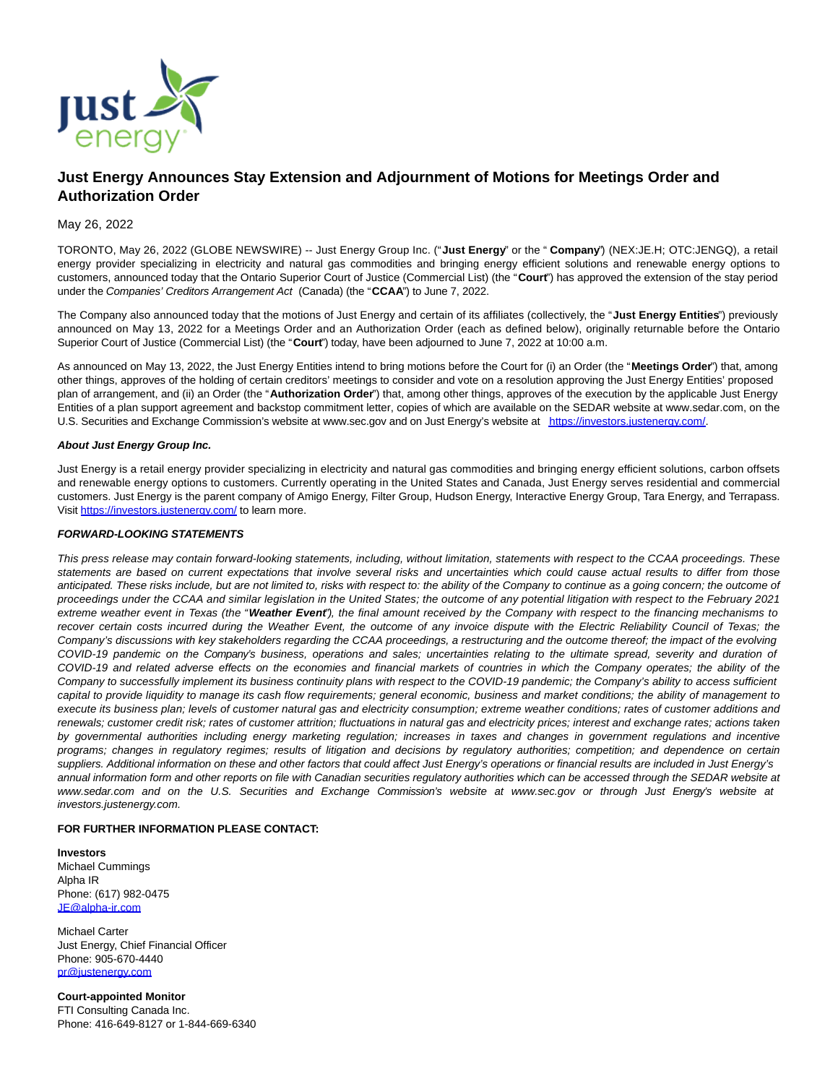

# **Just Energy Announces Stay Extension and Adjournment of Motions for Meetings Order and Authorization Order**

### May 26, 2022

TORONTO, May 26, 2022 (GLOBE NEWSWIRE) -- Just Energy Group Inc. ("**Just Energy**" or the " **Company**") (NEX:JE.H; OTC:JENGQ), a retail energy provider specializing in electricity and natural gas commodities and bringing energy efficient solutions and renewable energy options to customers, announced today that the Ontario Superior Court of Justice (Commercial List) (the "**Court**") has approved the extension of the stay period under the Companies' Creditors Arrangement Act (Canada) (the "**CCAA**") to June 7, 2022.

The Company also announced today that the motions of Just Energy and certain of its affiliates (collectively, the "**Just Energy Entities**") previously announced on May 13, 2022 for a Meetings Order and an Authorization Order (each as defined below), originally returnable before the Ontario Superior Court of Justice (Commercial List) (the "**Court**") today, have been adjourned to June 7, 2022 at 10:00 a.m.

As announced on May 13, 2022, the Just Energy Entities intend to bring motions before the Court for (i) an Order (the "**Meetings Order**") that, among other things, approves of the holding of certain creditors' meetings to consider and vote on a resolution approving the Just Energy Entities' proposed plan of arrangement, and (ii) an Order (the "**Authorization Order**") that, among other things, approves of the execution by the applicable Just Energy Entities of a plan support agreement and backstop commitment letter, copies of which are available on the SEDAR website at www.sedar.com, on the U.S. Securities and Exchange Commission's website at www.sec.gov and on Just Energy's website at [https://investors.justenergy.com/.](https://investors.justenergy.com/)

#### **About Just Energy Group Inc.**

Just Energy is a retail energy provider specializing in electricity and natural gas commodities and bringing energy efficient solutions, carbon offsets and renewable energy options to customers. Currently operating in the United States and Canada, Just Energy serves residential and commercial customers. Just Energy is the parent company of Amigo Energy, Filter Group, Hudson Energy, Interactive Energy Group, Tara Energy, and Terrapass. Visit [https://investors.justenergy.com/ t](https://investors.justenergy.com/)o learn more.

#### **FORWARD-LOOKING STATEMENTS**

This press release may contain forward-looking statements, including, without limitation, statements with respect to the CCAA proceedings. These statements are based on current expectations that involve several risks and uncertainties which could cause actual results to differ from those anticipated. These risks include, but are not limited to, risks with respect to: the ability of the Company to continue as a going concern; the outcome of proceedings under the CCAA and similar legislation in the United States; the outcome of any potential litigation with respect to the February 2021 extreme weather event in Texas (the "**Weather Event**"), the final amount received by the Company with respect to the financing mechanisms to recover certain costs incurred during the Weather Event, the outcome of any invoice dispute with the Electric Reliability Council of Texas; the Company's discussions with key stakeholders regarding the CCAA proceedings, a restructuring and the outcome thereof; the impact of the evolving COVID-19 pandemic on the Company's business, operations and sales; uncertainties relating to the ultimate spread, severity and duration of COVID-19 and related adverse effects on the economies and financial markets of countries in which the Company operates; the ability of the Company to successfully implement its business continuity plans with respect to the COVID-19 pandemic; the Company's ability to access sufficient capital to provide liquidity to manage its cash flow requirements; general economic, business and market conditions; the ability of management to execute its business plan; levels of customer natural gas and electricity consumption; extreme weather conditions; rates of customer additions and renewals; customer credit risk; rates of customer attrition; fluctuations in natural gas and electricity prices; interest and exchange rates; actions taken by governmental authorities including energy marketing regulation; increases in taxes and changes in government regulations and incentive programs; changes in regulatory regimes; results of litigation and decisions by regulatory authorities; competition; and dependence on certain suppliers. Additional information on these and other factors that could affect Just Energy's operations or financial results are included in Just Energy's annual information form and other reports on file with Canadian securities regulatory authorities which can be accessed through the SEDAR website at www.sedar.com and on the U.S. Securities and Exchange Commission's website at www.sec.gov or through Just Energy's website at investors.justenergy.com.

#### **FOR FURTHER INFORMATION PLEASE CONTACT:**

**Investors** Michael Cummings Alpha IR Phone: (617) 982-0475 [JE@alpha-ir.com](mailto:JE@alpha-ir.com)

Michael Carter Just Energy, Chief Financial Officer Phone: 905-670-4440 [pr@justenergy.com](mailto:pr@justenergy.com)

**Court-appointed Monitor** FTI Consulting Canada Inc. Phone: 416-649-8127 or 1-844-669-6340